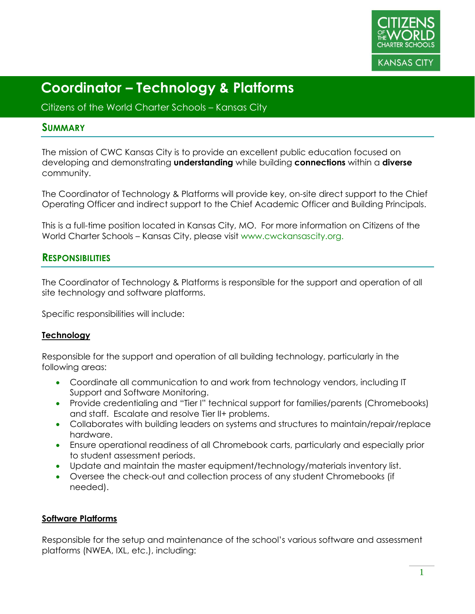

Citizens of the World Charter Schools – Kansas City

### **SUMMARY**

The mission of CWC Kansas City is to provide an excellent public education focused on developing and demonstrating **understanding** while building **connections** within a **diverse** community.

The Coordinator of Technology & Platforms will provide key, on-site direct support to the Chief Operating Officer and indirect support to the Chief Academic Officer and Building Principals.

This is a full-time position located in Kansas City, MO. For more information on Citizens of the World Charter Schools – Kansas City, please visit www.cwckansascity.org.

## **RESPONSIBILITIES**

The Coordinator of Technology & Platforms is responsible for the support and operation of all site technology and software platforms.

Specific responsibilities will include:

### **Technology**

Responsible for the support and operation of all building technology, particularly in the following areas:

- Coordinate all communication to and work from technology vendors, including IT Support and Software Monitoring.
- Provide credentialing and "Tier I" technical support for families/parents (Chromebooks) and staff. Escalate and resolve Tier II+ problems.
- Collaborates with building leaders on systems and structures to maintain/repair/replace hardware.
- Ensure operational readiness of all Chromebook carts, particularly and especially prior to student assessment periods.
- Update and maintain the master equipment/technology/materials inventory list.
- Oversee the check-out and collection process of any student Chromebooks (if needed).

### **Software Platforms**

Responsible for the setup and maintenance of the school's various software and assessment platforms (NWEA, IXL, etc.), including: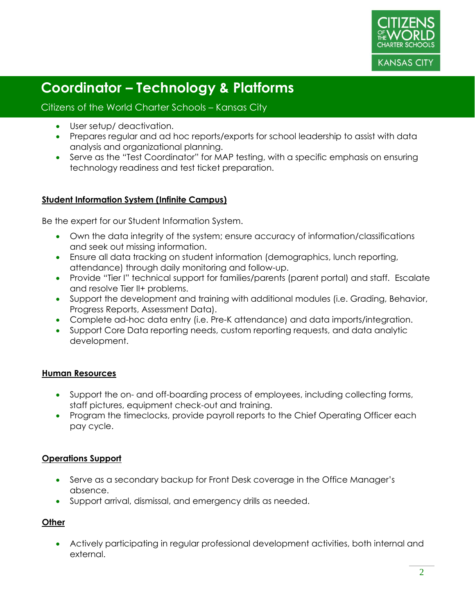

Citizens of the World Charter Schools – Kansas City

- User setup/ deactivation.
- Prepares regular and ad hoc reports/exports for school leadership to assist with data analysis and organizational planning.
- Serve as the "Test Coordinator" for MAP testing, with a specific emphasis on ensuring technology readiness and test ticket preparation.

### **Student Information System (Infinite Campus)**

Be the expert for our Student Information System.

- Own the data integrity of the system; ensure accuracy of information/classifications and seek out missing information.
- Ensure all data tracking on student information (demographics, lunch reporting, attendance) through daily monitoring and follow-up.
- Provide "Tier I" technical support for families/parents (parent portal) and staff. Escalate and resolve Tier II+ problems.
- Support the development and training with additional modules (i.e. Grading, Behavior, Progress Reports, Assessment Data).
- Complete ad-hoc data entry (i.e. Pre-K attendance) and data imports/integration.
- Support Core Data reporting needs, custom reporting requests, and data analytic development.

### **Human Resources**

- Support the on- and off-boarding process of employees, including collecting forms, staff pictures, equipment check-out and training.
- Program the timeclocks, provide payroll reports to the Chief Operating Officer each pay cycle.

### **Operations Support**

- Serve as a secondary backup for Front Desk coverage in the Office Manager's absence.
- Support arrival, dismissal, and emergency drills as needed.

### **Other**

• Actively participating in regular professional development activities, both internal and external.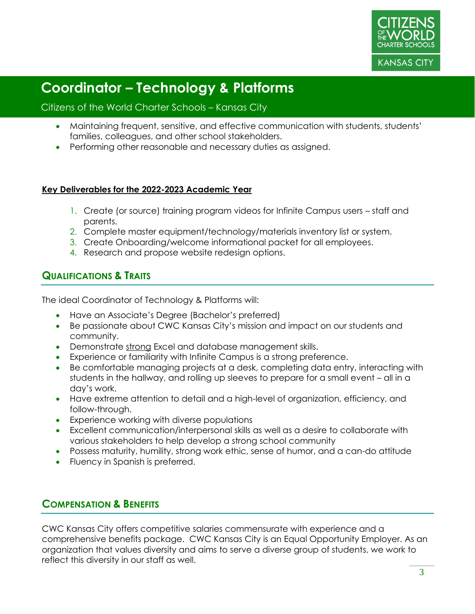

### Citizens of the World Charter Schools – Kansas City

- Maintaining frequent, sensitive, and effective communication with students, students' families, colleagues, and other school stakeholders.
- Performing other reasonable and necessary duties as assigned.

### **Key Deliverables for the 2022-2023 Academic Year**

- 1. Create (or source) training program videos for Infinite Campus users staff and parents.
- 2. Complete master equipment/technology/materials inventory list or system.
- 3. Create Onboarding/welcome informational packet for all employees.
- 4. Research and propose website redesign options.

## **QUALIFICATIONS & TRAITS**

The ideal Coordinator of Technology & Platforms will:

- Have an Associate's Degree (Bachelor's preferred)
- Be passionate about CWC Kansas City's mission and impact on our students and community.
- Demonstrate strong Excel and database management skills.
- Experience or familiarity with Infinite Campus is a strong preference.
- Be comfortable managing projects at a desk, completing data entry, interacting with students in the hallway, and rolling up sleeves to prepare for a small event – all in a day's work.
- Have extreme attention to detail and a high-level of organization, efficiency, and follow-through.
- Experience working with diverse populations
- Excellent communication/interpersonal skills as well as a desire to collaborate with various stakeholders to help develop a strong school community
- Possess maturity, humility, strong work ethic, sense of humor, and a can-do attitude
- Fluency in Spanish is preferred.

## **COMPENSATION & BENEFITS**

CWC Kansas City offers competitive salaries commensurate with experience and a comprehensive benefits package. CWC Kansas City is an Equal Opportunity Employer. As an organization that values diversity and aims to serve a diverse group of students, we work to reflect this diversity in our staff as well.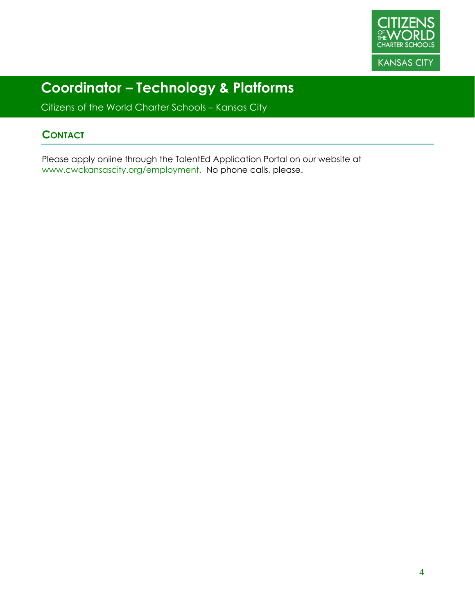

Citizens of the World Charter Schools – Kansas City

## **CONTACT**

Please apply online through the TalentEd Application Portal on our website at www.cwckansascity.org/employment. No phone calls, please.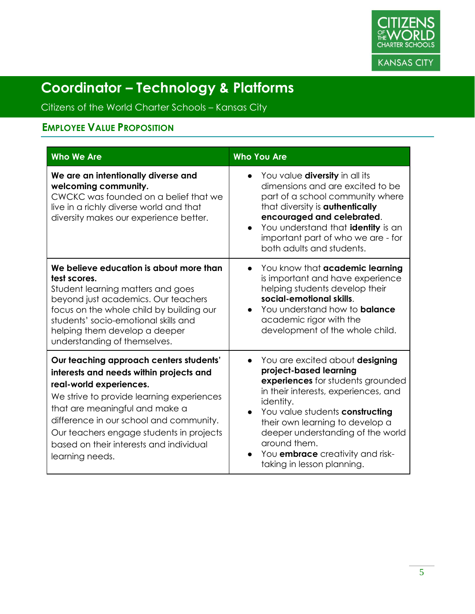

Citizens of the World Charter Schools – Kansas City

# **EMPLOYEE VALUE PROPOSITION**

| <b>Who We Are</b>                                                                                                                                                                                                                                                                                                                                 | <b>Who You Are</b>                                                                                                                                                                                                                                                                                                                                                                |
|---------------------------------------------------------------------------------------------------------------------------------------------------------------------------------------------------------------------------------------------------------------------------------------------------------------------------------------------------|-----------------------------------------------------------------------------------------------------------------------------------------------------------------------------------------------------------------------------------------------------------------------------------------------------------------------------------------------------------------------------------|
| We are an intentionally diverse and<br>welcoming community.<br>CWCKC was founded on a belief that we<br>live in a richly diverse world and that<br>diversity makes our experience better.                                                                                                                                                         | You value <b>diversity</b> in all its<br>dimensions and are excited to be<br>part of a school community where<br>that diversity is <b>authentically</b><br>encouraged and celebrated.<br>You understand that identity is an<br>important part of who we are - for<br>both adults and students.                                                                                    |
| We believe education is about more than<br>test scores.<br>Student learning matters and goes<br>beyond just academics. Our teachers<br>focus on the whole child by building our<br>students' socio-emotional skills and<br>helping them develop a deeper<br>understanding of themselves.                                                          | You know that academic learning<br>$\bullet$<br>is important and have experience<br>helping students develop their<br>social-emotional skills.<br>You understand how to <b>balance</b><br>$\bullet$<br>academic rigor with the<br>development of the whole child.                                                                                                                 |
| Our teaching approach centers students'<br>interests and needs within projects and<br>real-world experiences.<br>We strive to provide learning experiences<br>that are meaningful and make a<br>difference in our school and community.<br>Our teachers engage students in projects<br>based on their interests and individual<br>learning needs. | You are excited about designing<br>$\bullet$<br>project-based learning<br>experiences for students grounded<br>in their interests, experiences, and<br>identity.<br>You value students constructing<br>$\bullet$<br>their own learning to develop a<br>deeper understanding of the world<br>around them.<br>You <b>embrace</b> creativity and risk-<br>taking in lesson planning. |